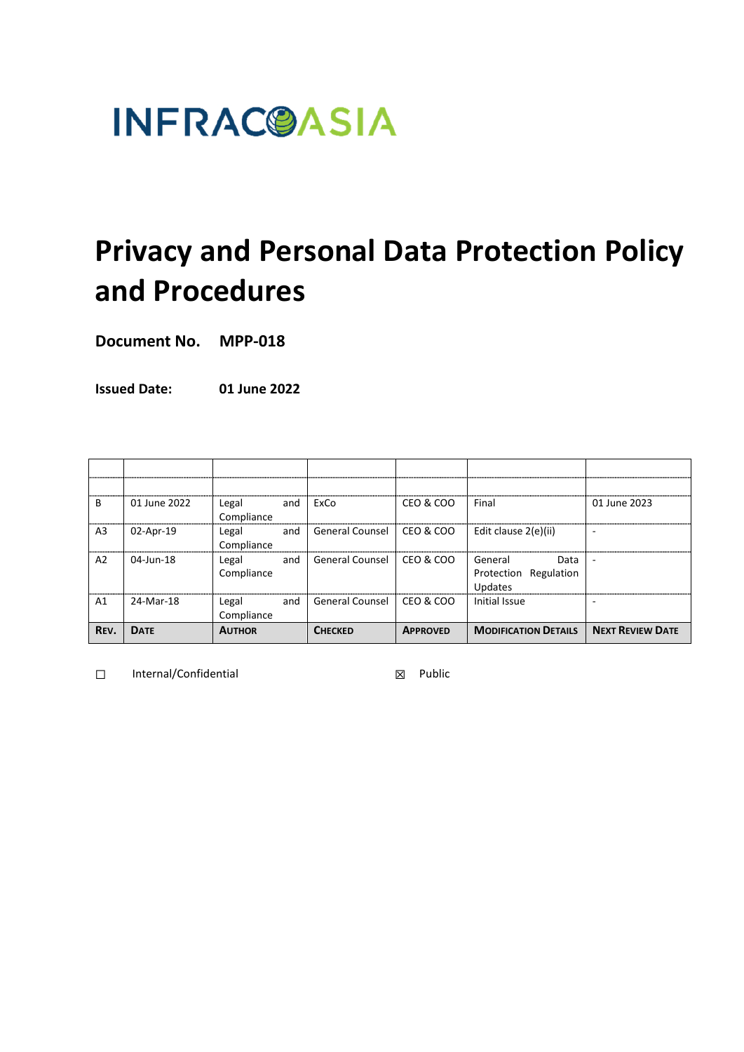# **INFRAC@ASIA**

## **Privacy and Personal Data Protection Policy and Procedures**

**Document No. MPP-018**

**Issued Date: 01 June 2022**

| B              | 01 June 2022 | Legal<br>and<br>Compliance | ExCo                   | CEO & COO       | Final                                                  | 01 June 2023            |
|----------------|--------------|----------------------------|------------------------|-----------------|--------------------------------------------------------|-------------------------|
| A <sub>3</sub> | 02-Apr-19    | Legal<br>and<br>Compliance | <b>General Counsel</b> | CEO & COO       | Edit clause 2(e)(ii)                                   |                         |
| A2             | 04-Jun-18    | Legal<br>and<br>Compliance | <b>General Counsel</b> | CEO & COO       | General<br>Data<br>Regulation<br>Protection<br>Updates |                         |
| A1             | 24-Mar-18    | Legal<br>and<br>Compliance | <b>General Counsel</b> | CEO & COO       | Initial Issue                                          |                         |
| REV.           | <b>DATE</b>  | <b>AUTHOR</b>              | <b>CHECKED</b>         | <b>APPROVED</b> | <b>MODIFICATION DETAILS</b>                            | <b>NEXT REVIEW DATE</b> |

☐ Internal/Confidential ☒ Public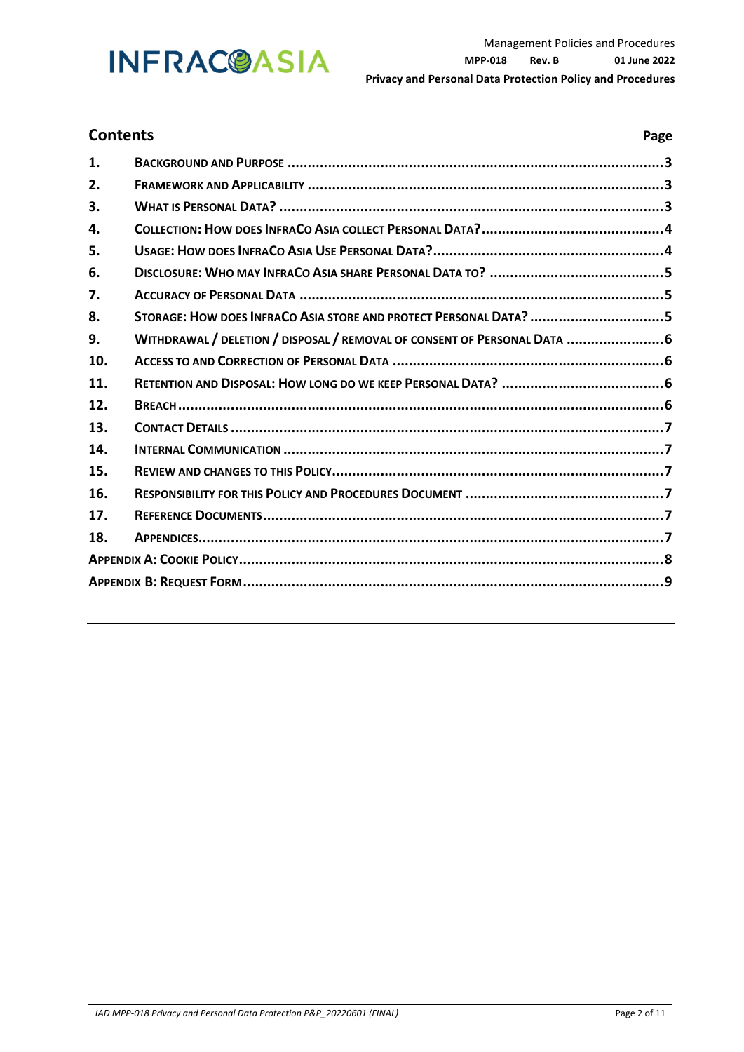### **INFRAC@ASIA**

### **Contents Page**

| 1.  |                                                                          |  |  |  |
|-----|--------------------------------------------------------------------------|--|--|--|
| 2.  |                                                                          |  |  |  |
| 3.  |                                                                          |  |  |  |
| 4.  |                                                                          |  |  |  |
| 5.  |                                                                          |  |  |  |
| 6.  |                                                                          |  |  |  |
| 7.  |                                                                          |  |  |  |
| 8.  | STORAGE: HOW DOES INFRACO ASIA STORE AND PROTECT PERSONAL DATA? 5        |  |  |  |
| 9.  | WITHDRAWAL / DELETION / DISPOSAL / REMOVAL OF CONSENT OF PERSONAL DATA 6 |  |  |  |
| 10. |                                                                          |  |  |  |
| 11. |                                                                          |  |  |  |
| 12. |                                                                          |  |  |  |
| 13. |                                                                          |  |  |  |
| 14. |                                                                          |  |  |  |
| 15. |                                                                          |  |  |  |
| 16. |                                                                          |  |  |  |
| 17. |                                                                          |  |  |  |
| 18. |                                                                          |  |  |  |
|     |                                                                          |  |  |  |
|     |                                                                          |  |  |  |
|     |                                                                          |  |  |  |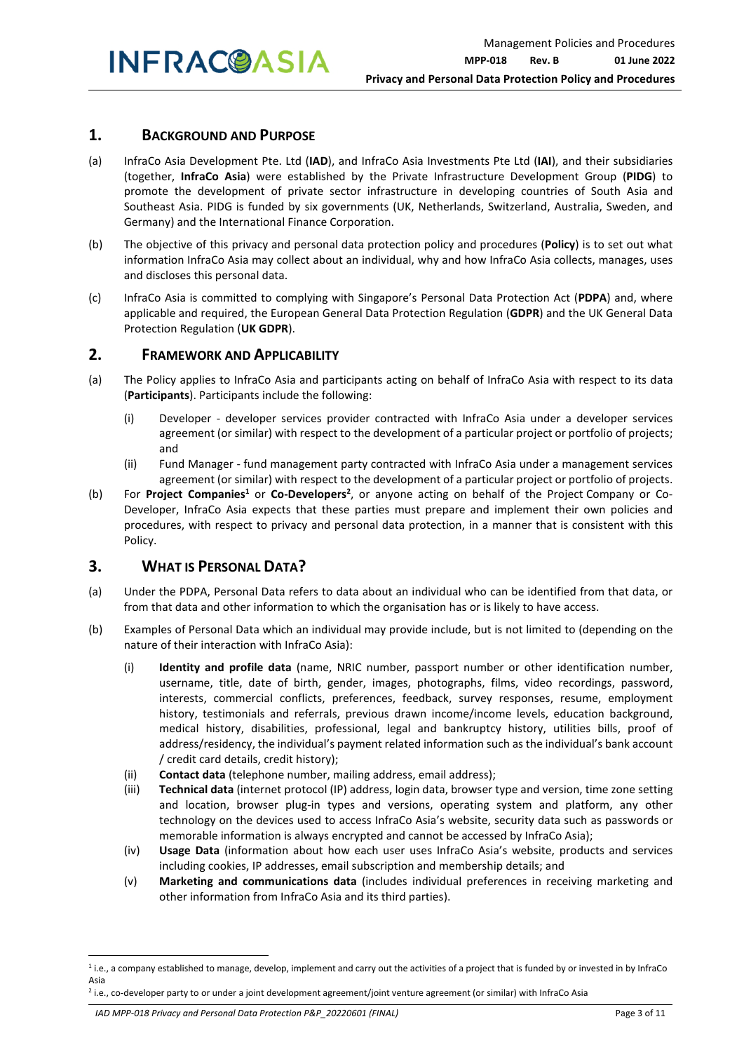#### **1. BACKGROUND AND PURPOSE**

- (a) InfraCo Asia Development Pte. Ltd (**IAD**), and InfraCo Asia Investments Pte Ltd (**IAI**), and their subsidiaries (together, **InfraCo Asia**) were established by the Private Infrastructure Development Group (**PIDG**) to promote the development of private sector infrastructure in developing countries of South Asia and Southeast Asia. PIDG is funded by six governments (UK, Netherlands, Switzerland, Australia, Sweden, and Germany) and the International Finance Corporation.
- (b) The objective of this privacy and personal data protection policy and procedures (**Policy**) is to set out what information InfraCo Asia may collect about an individual, why and how InfraCo Asia collects, manages, uses and discloses this personal data.
- (c) InfraCo Asia is committed to complying with Singapore's Personal Data Protection Act (**PDPA**) and, where applicable and required, the European General Data Protection Regulation (**GDPR**) and the UK General Data Protection Regulation (**UK GDPR**).

#### **2. FRAMEWORK AND APPLICABILITY**

- (a) The Policy applies to InfraCo Asia and participants acting on behalf of InfraCo Asia with respect to its data (**Participants**). Participants include the following:
	- (i) Developer developer services provider contracted with InfraCo Asia under a developer services agreement (or similar) with respect to the development of a particular project or portfolio of projects; and
	- (ii) Fund Manager fund management party contracted with InfraCo Asia under a management services agreement (or similar) with respect to the development of a particular project or portfolio of projects.
- (b) For Project Companies<sup>1</sup> or Co-Developers<sup>2</sup>, or anyone acting on behalf of the Project Company or Co-Developer, InfraCo Asia expects that these parties must prepare and implement their own policies and procedures, with respect to privacy and personal data protection, in a manner that is consistent with this Policy.

#### **3. WHAT IS PERSONAL DATA?**

- (a) Under the PDPA, Personal Data refers to data about an individual who can be identified from that data, or from that data and other information to which the organisation has or is likely to have access.
- (b) Examples of Personal Data which an individual may provide include, but is not limited to (depending on the nature of their interaction with InfraCo Asia):
	- (i) **Identity and profile data** (name, NRIC number, passport number or other identification number, username, title, date of birth, gender, images, photographs, films, video recordings, password, interests, commercial conflicts, preferences, feedback, survey responses, resume, employment history, testimonials and referrals, previous drawn income/income levels, education background, medical history, disabilities, professional, legal and bankruptcy history, utilities bills, proof of address/residency, the individual's payment related information such as the individual's bank account / credit card details, credit history);
	- (ii) **Contact data** (telephone number, mailing address, email address);
	- (iii) **Technical data** (internet protocol (IP) address, login data, browser type and version, time zone setting and location, browser plug-in types and versions, operating system and platform, any other technology on the devices used to access InfraCo Asia's website, security data such as passwords or memorable information is always encrypted and cannot be accessed by InfraCo Asia);
	- (iv) **Usage Data** (information about how each user uses InfraCo Asia's website, products and services including cookies, IP addresses, email subscription and membership details; and
	- (v) **Marketing and communications data** (includes individual preferences in receiving marketing and other information from InfraCo Asia and its third parties).

*IAD MPP-018 Privacy and Personal Data Protection P&P\_20220601 (FINAL)* Page 3 of 11

<sup>&</sup>lt;sup>1</sup> i.e., a company established to manage, develop, implement and carry out the activities of a project that is funded by or invested in by InfraCo Asia

<sup>&</sup>lt;sup>2</sup> i.e., co-developer party to or under a joint development agreement/joint venture agreement (or similar) with InfraCo Asia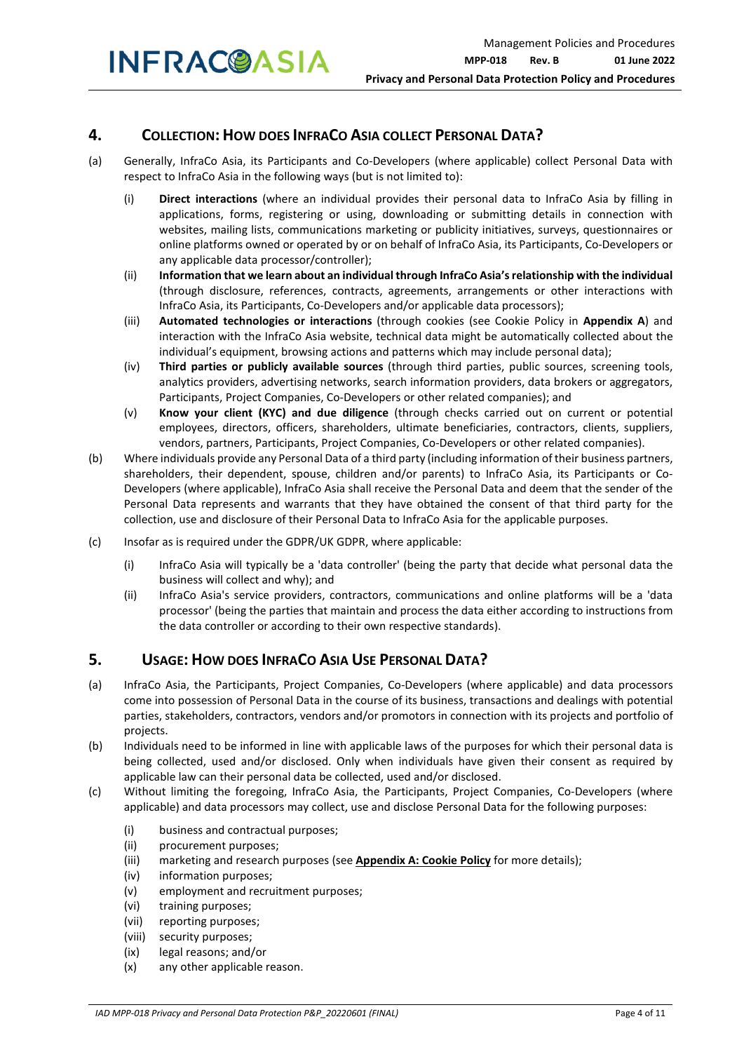#### **4. COLLECTION: HOW DOES INFRACO ASIA COLLECT PERSONAL DATA?**

- (a) Generally, InfraCo Asia, its Participants and Co-Developers (where applicable) collect Personal Data with respect to InfraCo Asia in the following ways (but is not limited to):
	- (i) **Direct interactions** (where an individual provides their personal data to InfraCo Asia by filling in applications, forms, registering or using, downloading or submitting details in connection with websites, mailing lists, communications marketing or publicity initiatives, surveys, questionnaires or online platforms owned or operated by or on behalf of InfraCo Asia, its Participants, Co-Developers or any applicable data processor/controller);
	- (ii) **Information that we learn about an individual through InfraCo Asia's relationship with the individual**  (through disclosure, references, contracts, agreements, arrangements or other interactions with InfraCo Asia, its Participants, Co-Developers and/or applicable data processors);
	- (iii) **Automated technologies or interactions** (through cookies (see Cookie Policy in **Appendix A**) and interaction with the InfraCo Asia website, technical data might be automatically collected about the individual's equipment, browsing actions and patterns which may include personal data);
	- (iv) **Third parties or publicly available sources** (through third parties, public sources, screening tools, analytics providers, advertising networks, search information providers, data brokers or aggregators, Participants, Project Companies, Co-Developers or other related companies); and
	- (v) **Know your client (KYC) and due diligence** (through checks carried out on current or potential employees, directors, officers, shareholders, ultimate beneficiaries, contractors, clients, suppliers, vendors, partners, Participants, Project Companies, Co-Developers or other related companies).
- (b) Where individuals provide any Personal Data of a third party (including information of their business partners, shareholders, their dependent, spouse, children and/or parents) to InfraCo Asia, its Participants or Co-Developers (where applicable), InfraCo Asia shall receive the Personal Data and deem that the sender of the Personal Data represents and warrants that they have obtained the consent of that third party for the collection, use and disclosure of their Personal Data to InfraCo Asia for the applicable purposes.
- (c) Insofar as is required under the GDPR/UK GDPR, where applicable:
	- (i) InfraCo Asia will typically be a 'data controller' (being the party that decide what personal data the business will collect and why); and
	- (ii) InfraCo Asia's service providers, contractors, communications and online platforms will be a 'data processor' (being the parties that maintain and process the data either according to instructions from the data controller or according to their own respective standards).

#### **5. USAGE: HOW DOES INFRACO ASIA USE PERSONAL DATA?**

- (a) InfraCo Asia, the Participants, Project Companies, Co-Developers (where applicable) and data processors come into possession of Personal Data in the course of its business, transactions and dealings with potential parties, stakeholders, contractors, vendors and/or promotors in connection with its projects and portfolio of projects.
- (b) Individuals need to be informed in line with applicable laws of the purposes for which their personal data is being collected, used and/or disclosed. Only when individuals have given their consent as required by applicable law can their personal data be collected, used and/or disclosed.
- (c) Without limiting the foregoing, InfraCo Asia, the Participants, Project Companies, Co-Developers (where applicable) and data processors may collect, use and disclose Personal Data for the following purposes:
	- (i) business and contractual purposes;
	- (ii) procurement purposes;
	- (iii) marketing and research purposes (see **Appendix A: Cookie Policy** for more details);
	- (iv) information purposes;
	- (v) employment and recruitment purposes;
	- (vi) training purposes;
	- (vii) reporting purposes;
	- (viii) security purposes;
	- (ix) legal reasons; and/or
	- (x) any other applicable reason.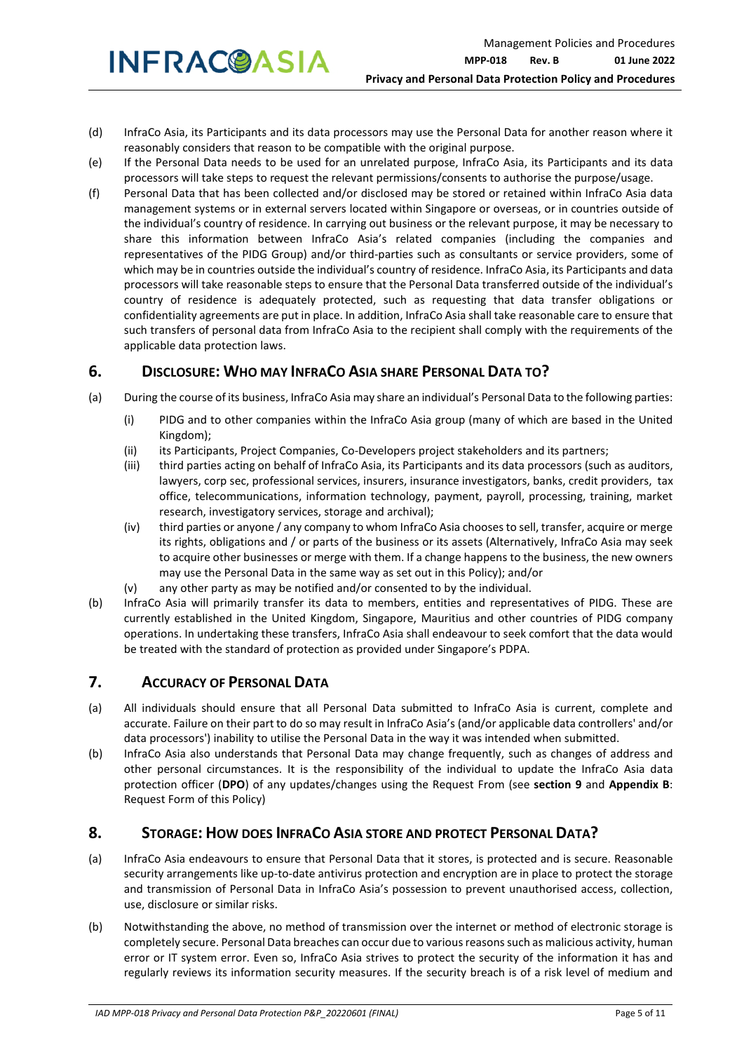- (d) InfraCo Asia, its Participants and its data processors may use the Personal Data for another reason where it reasonably considers that reason to be compatible with the original purpose.
- (e) If the Personal Data needs to be used for an unrelated purpose, InfraCo Asia, its Participants and its data processors will take steps to request the relevant permissions/consents to authorise the purpose/usage.
- (f) Personal Data that has been collected and/or disclosed may be stored or retained within InfraCo Asia data management systems or in external servers located within Singapore or overseas, or in countries outside of the individual's country of residence. In carrying out business or the relevant purpose, it may be necessary to share this information between InfraCo Asia's related companies (including the companies and representatives of the PIDG Group) and/or third-parties such as consultants or service providers, some of which may be in countries outside the individual's country of residence. InfraCo Asia, its Participants and data processors will take reasonable steps to ensure that the Personal Data transferred outside of the individual's country of residence is adequately protected, such as requesting that data transfer obligations or confidentiality agreements are put in place. In addition, InfraCo Asia shall take reasonable care to ensure that such transfers of personal data from InfraCo Asia to the recipient shall comply with the requirements of the applicable data protection laws.

#### **6. DISCLOSURE: WHO MAY INFRACO ASIA SHARE PERSONAL DATA TO?**

- (a) During the course of its business, InfraCo Asia may share an individual's Personal Data to the following parties:
	- (i) PIDG and to other companies within the InfraCo Asia group (many of which are based in the United Kingdom);
	- (ii) its Participants, Project Companies, Co-Developers project stakeholders and its partners;
	- (iii) third parties acting on behalf of InfraCo Asia, its Participants and its data processors (such as auditors, lawyers, corp sec, professional services, insurers, insurance investigators, banks, credit providers, tax office, telecommunications, information technology, payment, payroll, processing, training, market research, investigatory services, storage and archival);
	- (iv) third parties or anyone / any company to whom InfraCo Asia chooses to sell, transfer, acquire or merge its rights, obligations and / or parts of the business or its assets (Alternatively, InfraCo Asia may seek to acquire other businesses or merge with them. If a change happens to the business, the new owners may use the Personal Data in the same way as set out in this Policy); and/or
	- (v) any other party as may be notified and/or consented to by the individual.
- (b) InfraCo Asia will primarily transfer its data to members, entities and representatives of PIDG. These are currently established in the United Kingdom, Singapore, Mauritius and other countries of PIDG company operations. In undertaking these transfers, InfraCo Asia shall endeavour to seek comfort that the data would be treated with the standard of protection as provided under Singapore's PDPA.

#### **7. ACCURACY OF PERSONAL DATA**

- (a) All individuals should ensure that all Personal Data submitted to InfraCo Asia is current, complete and accurate. Failure on their part to do so may result in InfraCo Asia's (and/or applicable data controllers' and/or data processors') inability to utilise the Personal Data in the way it was intended when submitted.
- (b) InfraCo Asia also understands that Personal Data may change frequently, such as changes of address and other personal circumstances. It is the responsibility of the individual to update the InfraCo Asia data protection officer (**DPO**) of any updates/changes using the Request From (see **section 9** and **Appendix B**: Request Form of this Policy)

#### **8. STORAGE: HOW DOES INFRACO ASIA STORE AND PROTECT PERSONAL DATA?**

- (a) InfraCo Asia endeavours to ensure that Personal Data that it stores, is protected and is secure. Reasonable security arrangements like up-to-date antivirus protection and encryption are in place to protect the storage and transmission of Personal Data in InfraCo Asia's possession to prevent unauthorised access, collection, use, disclosure or similar risks.
- (b) Notwithstanding the above, no method of transmission over the internet or method of electronic storage is completely secure. Personal Data breaches can occur due to various reasons such as malicious activity, human error or IT system error. Even so, InfraCo Asia strives to protect the security of the information it has and regularly reviews its information security measures. If the security breach is of a risk level of medium and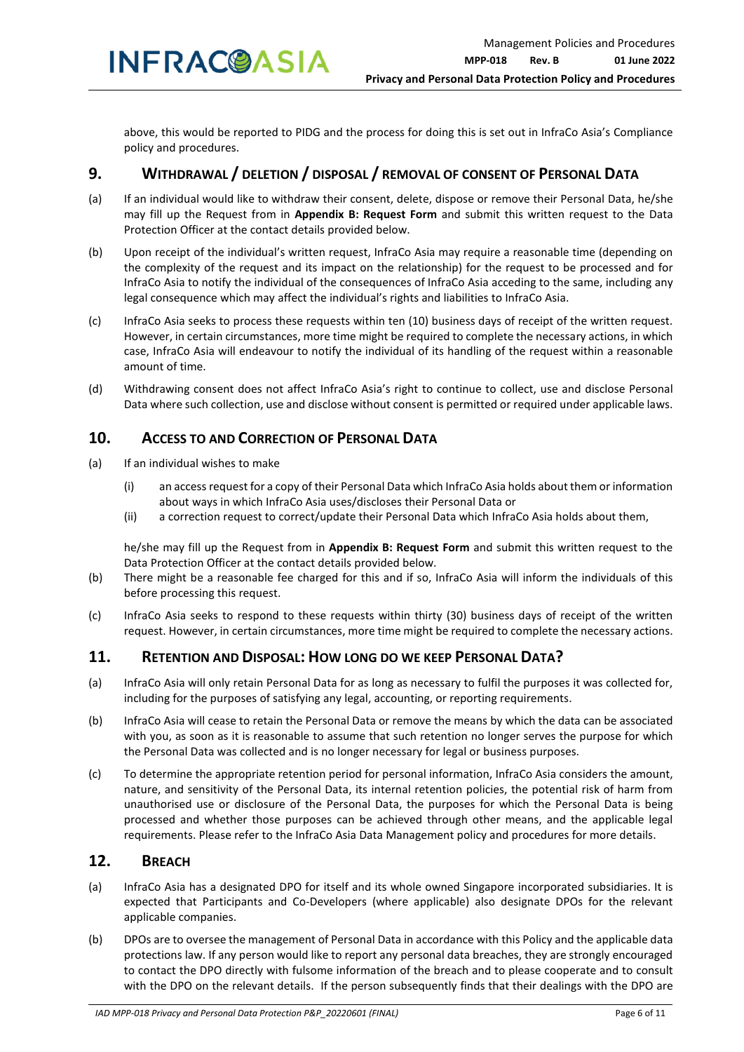**INFRACOASIA** 

above, this would be reported to PIDG and the process for doing this is set out in InfraCo Asia's Compliance policy and procedures.

#### **9. WITHDRAWAL / DELETION / DISPOSAL / REMOVAL OF CONSENT OF PERSONAL DATA**

- (a) If an individual would like to withdraw their consent, delete, dispose or remove their Personal Data, he/she may fill up the Request from in **Appendix B: Request Form** and submit this written request to the Data Protection Officer at the contact details provided below.
- (b) Upon receipt of the individual's written request, InfraCo Asia may require a reasonable time (depending on the complexity of the request and its impact on the relationship) for the request to be processed and for InfraCo Asia to notify the individual of the consequences of InfraCo Asia acceding to the same, including any legal consequence which may affect the individual's rights and liabilities to InfraCo Asia.
- (c) InfraCo Asia seeks to process these requests within ten (10) business days of receipt of the written request. However, in certain circumstances, more time might be required to complete the necessary actions, in which case, InfraCo Asia will endeavour to notify the individual of its handling of the request within a reasonable amount of time.
- (d) Withdrawing consent does not affect InfraCo Asia's right to continue to collect, use and disclose Personal Data where such collection, use and disclose without consent is permitted or required under applicable laws.

#### **10. ACCESS TO AND CORRECTION OF PERSONAL DATA**

- (a) If an individual wishes to make
	- (i) an access request for a copy of their Personal Data which InfraCo Asia holds about them or information about ways in which InfraCo Asia uses/discloses their Personal Data or
	- (ii) a correction request to correct/update their Personal Data which InfraCo Asia holds about them,

he/she may fill up the Request from in **Appendix B: Request Form** and submit this written request to the Data Protection Officer at the contact details provided below.

- (b) There might be a reasonable fee charged for this and if so, InfraCo Asia will inform the individuals of this before processing this request.
- (c) InfraCo Asia seeks to respond to these requests within thirty (30) business days of receipt of the written request. However, in certain circumstances, more time might be required to complete the necessary actions.

#### **11. RETENTION AND DISPOSAL: HOW LONG DO WE KEEP PERSONAL DATA?**

- (a) InfraCo Asia will only retain Personal Data for as long as necessary to fulfil the purposes it was collected for, including for the purposes of satisfying any legal, accounting, or reporting requirements.
- (b) InfraCo Asia will cease to retain the Personal Data or remove the means by which the data can be associated with you, as soon as it is reasonable to assume that such retention no longer serves the purpose for which the Personal Data was collected and is no longer necessary for legal or business purposes.
- (c) To determine the appropriate retention period for personal information, InfraCo Asia considers the amount, nature, and sensitivity of the Personal Data, its internal retention policies, the potential risk of harm from unauthorised use or disclosure of the Personal Data, the purposes for which the Personal Data is being processed and whether those purposes can be achieved through other means, and the applicable legal requirements. Please refer to the InfraCo Asia Data Management policy and procedures for more details.

#### **12. BREACH**

- (a) InfraCo Asia has a designated DPO for itself and its whole owned Singapore incorporated subsidiaries. It is expected that Participants and Co-Developers (where applicable) also designate DPOs for the relevant applicable companies.
- (b) DPOs are to oversee the management of Personal Data in accordance with this Policy and the applicable data protections law. If any person would like to report any personal data breaches, they are strongly encouraged to contact the DPO directly with fulsome information of the breach and to please cooperate and to consult with the DPO on the relevant details. If the person subsequently finds that their dealings with the DPO are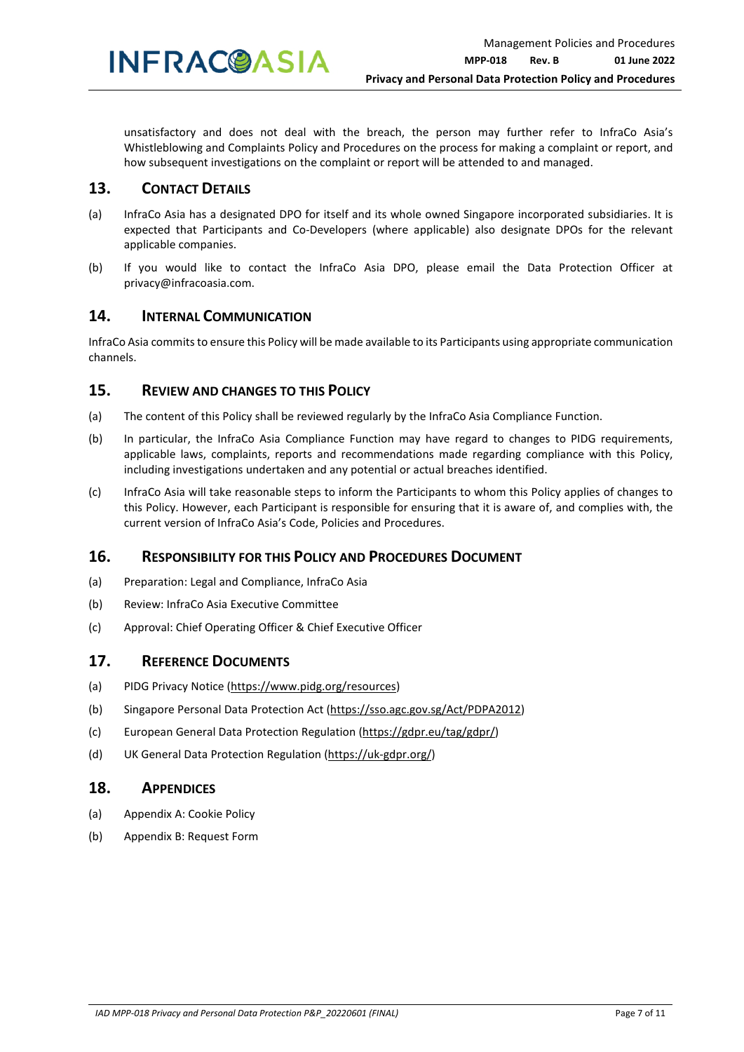unsatisfactory and does not deal with the breach, the person may further refer to InfraCo Asia's Whistleblowing and Complaints Policy and Procedures on the process for making a complaint or report, and how subsequent investigations on the complaint or report will be attended to and managed.

#### **13. CONTACT DETAILS**

- (a) InfraCo Asia has a designated DPO for itself and its whole owned Singapore incorporated subsidiaries. It is expected that Participants and Co-Developers (where applicable) also designate DPOs for the relevant applicable companies.
- (b) If you would like to contact the InfraCo Asia DPO, please email the Data Protection Officer at privacy@infracoasia.com.

#### **14. INTERNAL COMMUNICATION**

InfraCo Asia commits to ensure this Policy will be made available to its Participants using appropriate communication channels.

#### **15. REVIEW AND CHANGES TO THIS POLICY**

- (a) The content of this Policy shall be reviewed regularly by the InfraCo Asia Compliance Function.
- (b) In particular, the InfraCo Asia Compliance Function may have regard to changes to PIDG requirements, applicable laws, complaints, reports and recommendations made regarding compliance with this Policy, including investigations undertaken and any potential or actual breaches identified.
- (c) InfraCo Asia will take reasonable steps to inform the Participants to whom this Policy applies of changes to this Policy. However, each Participant is responsible for ensuring that it is aware of, and complies with, the current version of InfraCo Asia's Code, Policies and Procedures.

#### **16. RESPONSIBILITY FOR THIS POLICY AND PROCEDURES DOCUMENT**

- (a) Preparation: Legal and Compliance, InfraCo Asia
- (b) Review: InfraCo Asia Executive Committee
- (c) Approval: Chief Operating Officer & Chief Executive Officer

#### **17. REFERENCE DOCUMENTS**

- (a) PIDG Privacy Notice (https://www.pidg.org/resources)
- (b) Singapore Personal Data Protection Act (https://sso.agc.gov.sg/Act/PDPA2012)
- (c) European General Data Protection Regulation (https://gdpr.eu/tag/gdpr/)
- (d) UK General Data Protection Regulation (https://uk-gdpr.org/)

#### **18. APPENDICES**

- (a) Appendix A: Cookie Policy
- (b) Appendix B: Request Form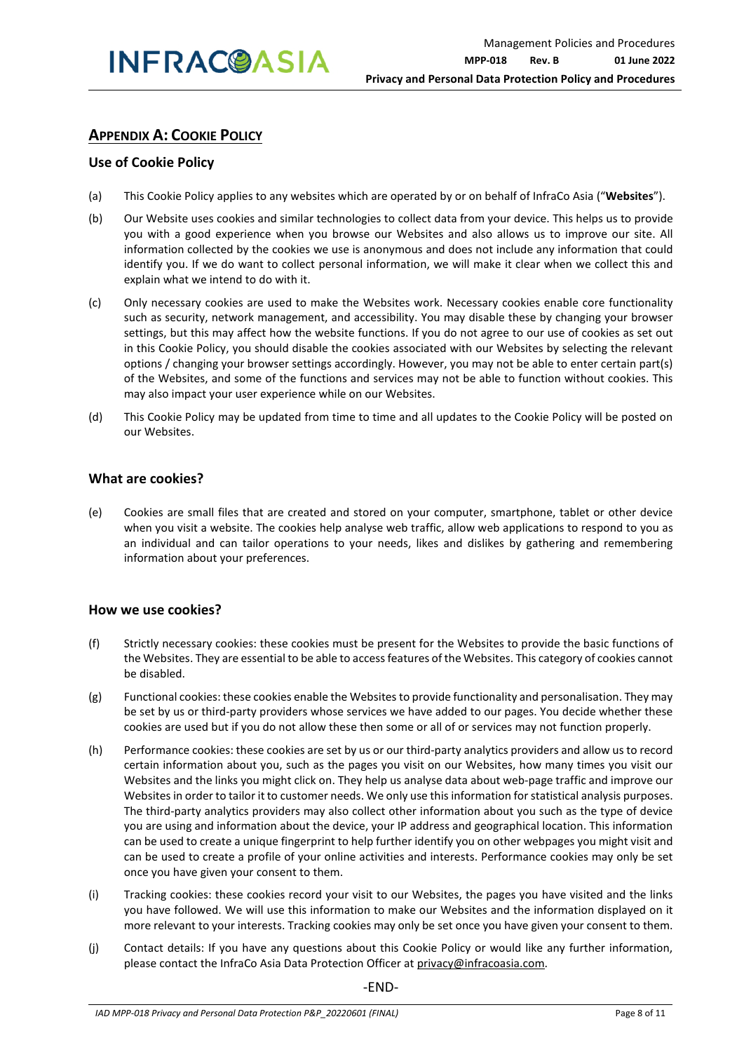#### **APPENDIX A: COOKIE POLICY**

#### **Use of Cookie Policy**

- (a) This Cookie Policy applies to any websites which are operated by or on behalf of InfraCo Asia ("**Websites**").
- (b) Our Website uses cookies and similar technologies to collect data from your device. This helps us to provide you with a good experience when you browse our Websites and also allows us to improve our site. All information collected by the cookies we use is anonymous and does not include any information that could identify you. If we do want to collect personal information, we will make it clear when we collect this and explain what we intend to do with it.
- (c) Only necessary cookies are used to make the Websites work. Necessary cookies enable core functionality such as security, network management, and accessibility. You may disable these by changing your browser settings, but this may affect how the website functions. If you do not agree to our use of cookies as set out in this Cookie Policy, you should disable the cookies associated with our Websites by selecting the relevant options / changing your browser settings accordingly. However, you may not be able to enter certain part(s) of the Websites, and some of the functions and services may not be able to function without cookies. This may also impact your user experience while on our Websites.
- (d) This Cookie Policy may be updated from time to time and all updates to the Cookie Policy will be posted on our Websites.

#### **What are cookies?**

(e) Cookies are small files that are created and stored on your computer, smartphone, tablet or other device when you visit a website. The cookies help analyse web traffic, allow web applications to respond to you as an individual and can tailor operations to your needs, likes and dislikes by gathering and remembering information about your preferences.

#### **How we use cookies?**

- (f) Strictly necessary cookies: these cookies must be present for the Websites to provide the basic functions of the Websites. They are essential to be able to access features of the Websites. This category of cookies cannot be disabled.
- (g) Functional cookies: these cookies enable the Websites to provide functionality and personalisation. They may be set by us or third-party providers whose services we have added to our pages. You decide whether these cookies are used but if you do not allow these then some or all of or services may not function properly.
- (h) Performance cookies: these cookies are set by us or our third-party analytics providers and allow us to record certain information about you, such as the pages you visit on our Websites, how many times you visit our Websites and the links you might click on. They help us analyse data about web-page traffic and improve our Websites in order to tailor it to customer needs. We only use this information for statistical analysis purposes. The third-party analytics providers may also collect other information about you such as the type of device you are using and information about the device, your IP address and geographical location. This information can be used to create a unique fingerprint to help further identify you on other webpages you might visit and can be used to create a profile of your online activities and interests. Performance cookies may only be set once you have given your consent to them.
- (i) Tracking cookies: these cookies record your visit to our Websites, the pages you have visited and the links you have followed. We will use this information to make our Websites and the information displayed on it more relevant to your interests. Tracking cookies may only be set once you have given your consent to them.
- (j) Contact details: If you have any questions about this Cookie Policy or would like any further information, please contact the InfraCo Asia Data Protection Officer at privacy@infracoasia.com.

-END-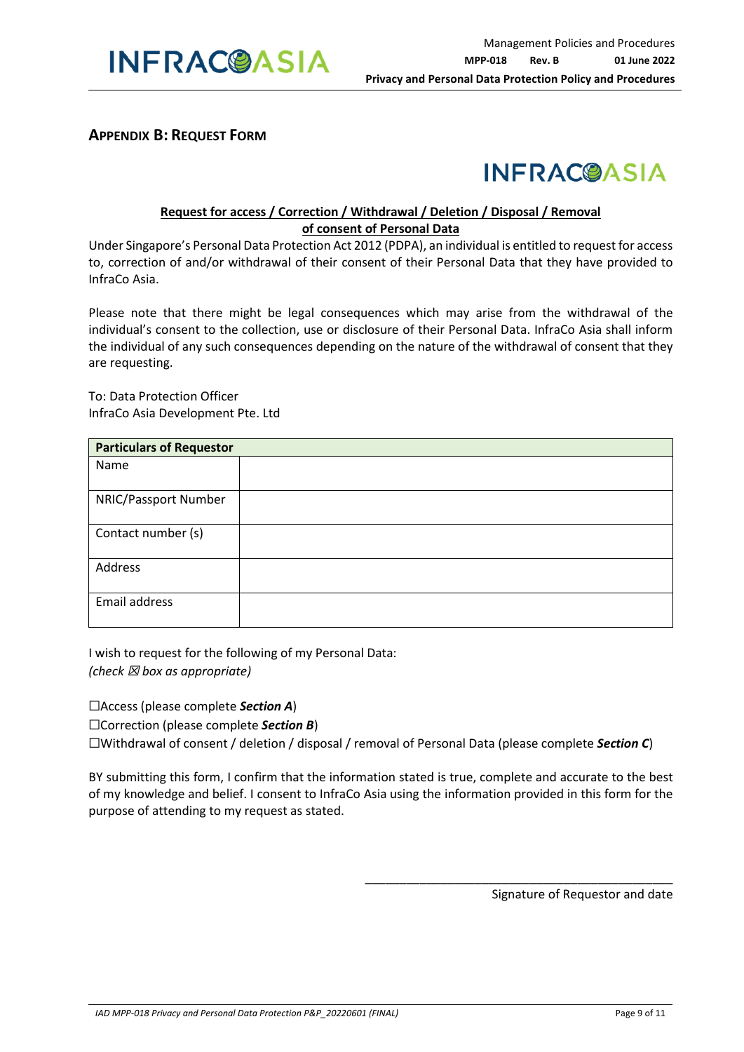

#### **APPENDIX B: REQUEST FORM**



#### **Request for access / Correction / Withdrawal / Deletion / Disposal / Removal of consent of Personal Data**

Under Singapore's Personal Data Protection Act 2012 (PDPA), an individual is entitled to request for access to, correction of and/or withdrawal of their consent of their Personal Data that they have provided to InfraCo Asia.

Please note that there might be legal consequences which may arise from the withdrawal of the individual's consent to the collection, use or disclosure of their Personal Data. InfraCo Asia shall inform the individual of any such consequences depending on the nature of the withdrawal of consent that they are requesting.

To: Data Protection Officer InfraCo Asia Development Pte. Ltd

| <b>Particulars of Requestor</b> |  |  |  |  |
|---------------------------------|--|--|--|--|
| Name                            |  |  |  |  |
|                                 |  |  |  |  |
| NRIC/Passport Number            |  |  |  |  |
|                                 |  |  |  |  |
| Contact number (s)              |  |  |  |  |
| Address                         |  |  |  |  |
| Email address                   |  |  |  |  |

I wish to request for the following of my Personal Data: *(check* ☒ *box as appropriate)* 

☐Access (please complete *Section A*)

☐Correction (please complete *Section B*)

☐Withdrawal of consent / deletion / disposal / removal of Personal Data (please complete *Section C*)

BY submitting this form, I confirm that the information stated is true, complete and accurate to the best of my knowledge and belief. I consent to InfraCo Asia using the information provided in this form for the purpose of attending to my request as stated.

Signature of Requestor and date

\_\_\_\_\_\_\_\_\_\_\_\_\_\_\_\_\_\_\_\_\_\_\_\_\_\_\_\_\_\_\_\_\_\_\_\_\_\_\_\_\_\_\_\_\_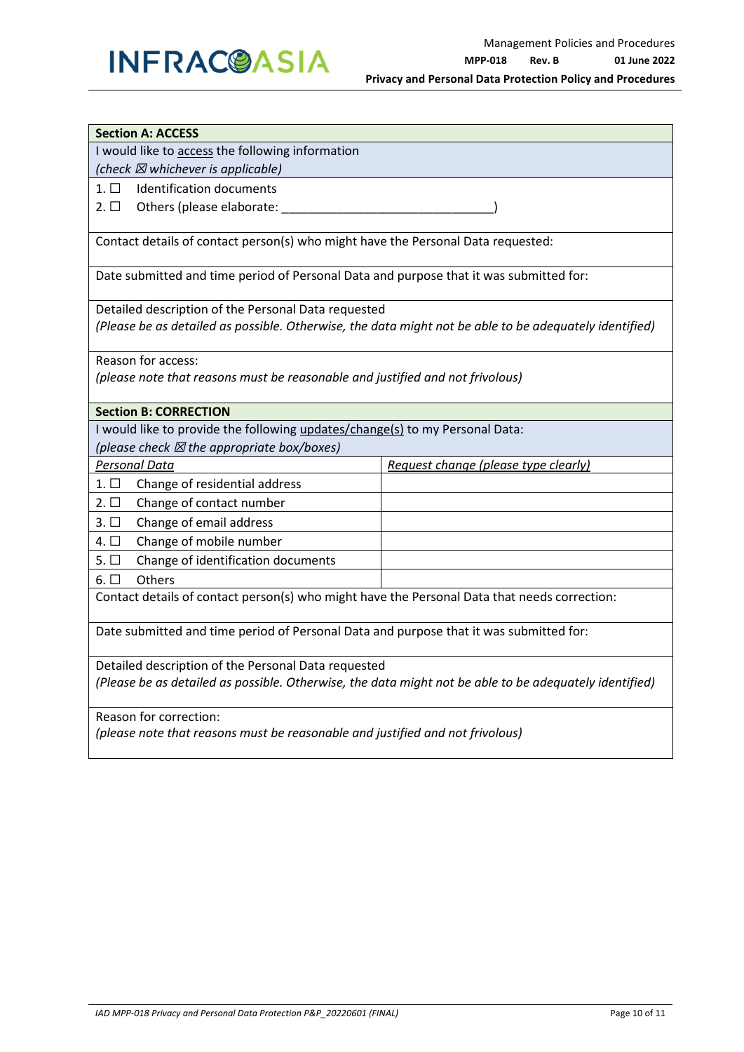### **INFRAC@ASIA**

| <b>Section A: ACCESS</b>                                                                               |                                      |  |  |  |  |  |
|--------------------------------------------------------------------------------------------------------|--------------------------------------|--|--|--|--|--|
| I would like to access the following information                                                       |                                      |  |  |  |  |  |
| (check $\boxtimes$ whichever is applicable)                                                            |                                      |  |  |  |  |  |
| <b>Identification documents</b><br>$1. \Box$                                                           |                                      |  |  |  |  |  |
| Others (please elaborate:<br>$2. \Box$                                                                 |                                      |  |  |  |  |  |
|                                                                                                        |                                      |  |  |  |  |  |
| Contact details of contact person(s) who might have the Personal Data requested:                       |                                      |  |  |  |  |  |
| Date submitted and time period of Personal Data and purpose that it was submitted for:                 |                                      |  |  |  |  |  |
| Detailed description of the Personal Data requested                                                    |                                      |  |  |  |  |  |
| (Please be as detailed as possible. Otherwise, the data might not be able to be adequately identified) |                                      |  |  |  |  |  |
| Reason for access:                                                                                     |                                      |  |  |  |  |  |
| (please note that reasons must be reasonable and justified and not frivolous)                          |                                      |  |  |  |  |  |
| <b>Section B: CORRECTION</b>                                                                           |                                      |  |  |  |  |  |
| I would like to provide the following updates/change(s) to my Personal Data:                           |                                      |  |  |  |  |  |
| (please check $\boxtimes$ the appropriate box/boxes)                                                   |                                      |  |  |  |  |  |
| <b>Personal Data</b>                                                                                   | Request change (please type clearly) |  |  |  |  |  |
| $1. \Box$<br>Change of residential address                                                             |                                      |  |  |  |  |  |
| Change of contact number<br>$2. \Box$                                                                  |                                      |  |  |  |  |  |
| $3. \square$<br>Change of email address                                                                |                                      |  |  |  |  |  |
| Change of mobile number<br>4. $\Box$                                                                   |                                      |  |  |  |  |  |
| $5. \Box$<br>Change of identification documents                                                        |                                      |  |  |  |  |  |
| $6. \Box$<br>Others                                                                                    |                                      |  |  |  |  |  |
| Contact details of contact person(s) who might have the Personal Data that needs correction:           |                                      |  |  |  |  |  |
| Date submitted and time period of Personal Data and purpose that it was submitted for:                 |                                      |  |  |  |  |  |
| Detailed description of the Personal Data requested                                                    |                                      |  |  |  |  |  |
| (Please be as detailed as possible. Otherwise, the data might not be able to be adequately identified) |                                      |  |  |  |  |  |
| Reason for correction:                                                                                 |                                      |  |  |  |  |  |
| (please note that reasons must be reasonable and justified and not frivolous)                          |                                      |  |  |  |  |  |